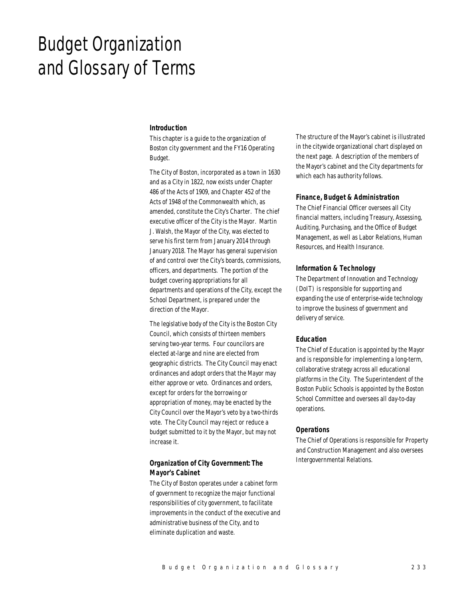# Budget Organization and Glossary of Terms

## *Introduction*

This chapter is a guide to the organization of Boston city government and the FY16 Operating Budget.

The City of Boston, incorporated as a town in 1630 and as a City in 1822, now exists under Chapter 486 of the Acts of 1909, and Chapter 452 of the Acts of 1948 of the Commonwealth which, as amended, constitute the City's Charter. The chief executive officer of the City is the Mayor. Martin J. Walsh, the Mayor of the City, was elected to serve his first term from January 2014 through January 2018. The Mayor has general supervision of and control over the City's boards, commissions, officers, and departments. The portion of the budget covering appropriations for all departments and operations of the City, except the School Department, is prepared under the direction of the Mayor.

The legislative body of the City is the Boston City Council, which consists of thirteen members serving two-year terms. Four councilors are elected at-large and nine are elected from geographic districts. The City Council may enact ordinances and adopt orders that the Mayor may either approve or veto. Ordinances and orders, except for orders for the borrowing or appropriation of money, may be enacted by the City Council over the Mayor's veto by a two-thirds vote. The City Council may reject or reduce a budget submitted to it by the Mayor, but may not increase it.

# *Organization of City Government: The Mayor's Cabinet*

The City of Boston operates under a cabinet form of government to recognize the major functional responsibilities of city government, to facilitate improvements in the conduct of the executive and administrative business of the City, and to eliminate duplication and waste.

The structure of the Mayor's cabinet is illustrated in the citywide organizational chart displayed on the next page. A description of the members of the Mayor's cabinet and the City departments for which each has authority follows.

## *Finance, Budget & Administration*

The Chief Financial Officer oversees all City financial matters, including Treasury, Assessing, Auditing, Purchasing, and the Office of Budget Management, as well as Labor Relations, Human Resources, and Health Insurance.

## *Information & Technology*

The Department of Innovation and Technology (DoIT) is responsible for supporting and expanding the use of enterprise-wide technology to improve the business of government and delivery of service.

## *Education*

The Chief of Education is appointed by the Mayor and is responsible for implementing a long-term, collaborative strategy across all educational platforms in the City. The Superintendent of the Boston Public Schools is appointed by the Boston School Committee and oversees all day-to-day operations.

### *Operations*

The Chief of Operations is responsible for Property and Construction Management and also oversees Intergovernmental Relations.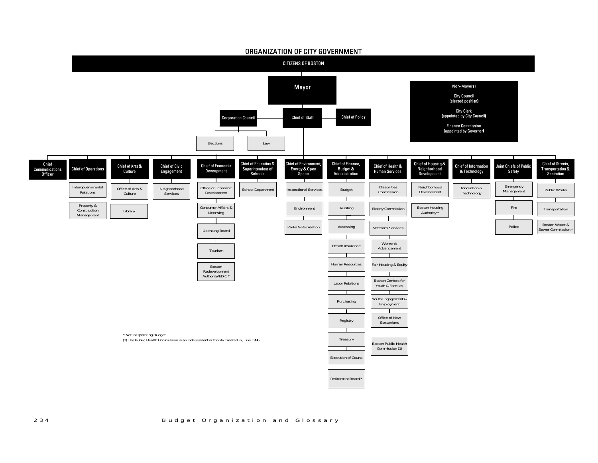

### 2 3 4 B <sup>u</sup> d g <sup>e</sup> t O <sup>r</sup> g <sup>a</sup> <sup>n</sup> i <sup>z</sup> <sup>a</sup> t i on and Glossary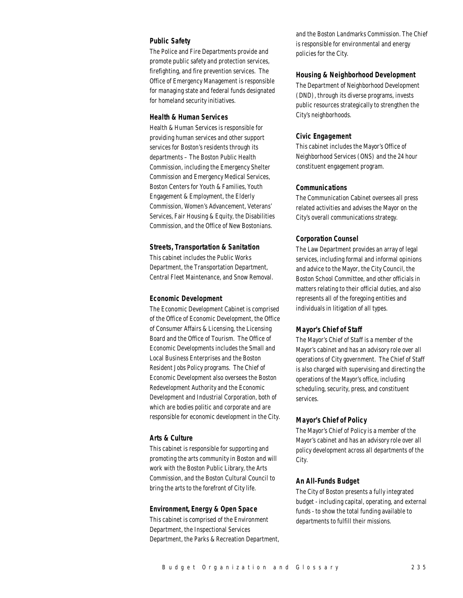# *Public Safety*

The Police and Fire Departments provide and promote public safety and protection services, firefighting, and fire prevention services. The Office of Emergency Management is responsible for managing state and federal funds designated for homeland security initiatives.

#### *Health & Human Services*

Health & Human Services is responsible for providing human services and other support services for Boston's residents through its departments – The Boston Public Health Commission, including the Emergency Shelter Commission and Emergency Medical Services, Boston Centers for Youth & Families, Youth Engagement & Employment, the Elderly Commission, Women's Advancement, Veterans' Services, Fair Housing & Equity, the Disabilities Commission, and the Office of New Bostonians.

### *Streets, Transportation & Sanitation*

This cabinet includes the Public Works Department, the Transportation Department, Central Fleet Maintenance, and Snow Removal.

#### *Economic Development*

The Economic Development Cabinet is comprised of the Office of Economic Development, the Office of Consumer Affairs & Licensing, the Licensing Board and the Office of Tourism. The Office of Economic Developments includes the Small and Local Business Enterprises and the Boston Resident Jobs Policy programs. The Chief of Economic Development also oversees the Boston Redevelopment Authority and the Economic Development and Industrial Corporation, both of which are bodies politic and corporate and are responsible for economic development in the City.

## *Arts & Culture*

This cabinet is responsible for supporting and promoting the arts community in Boston and will work with the Boston Public Library, the Arts Commission, and the Boston Cultural Council to bring the arts to the forefront of City life.

## *Environment, Energy & Open Space*

This cabinet is comprised of the Environment Department, the Inspectional Services Department, the Parks & Recreation Department, and the Boston Landmarks Commission. The Chief is responsible for environmental and energy policies for the City.

## *Housing & Neighborhood Development*

The Department of Neighborhood Development (DND), through its diverse programs, invests public resources strategically to strengthen the City's neighborhoods.

## *Civic Engagement*

This cabinet includes the Mayor's Office of Neighborhood Services (ONS) and the 24 hour constituent engagement program.

## *Communications*

The Communication Cabinet oversees all press related activities and advises the Mayor on the City's overall communications strategy.

## *Corporation Counsel*

The Law Department provides an array of legal services, including formal and informal opinions and advice to the Mayor, the City Council, the Boston School Committee, and other officials in matters relating to their official duties, and also represents all of the foregoing entities and individuals in litigation of all types.

## *Mayor's Chief of Staff*

The Mayor's Chief of Staff is a member of the Mayor's cabinet and has an advisory role over all operations of City government. The Chief of Staff is also charged with supervising and directing the operations of the Mayor's office, including scheduling, security, press, and constituent services.

### *Mayor's Chief of Policy*

The Mayor's Chief of Policy is a member of the Mayor's cabinet and has an advisory role over all policy development across all departments of the City.

## *An All-Funds Budget*

The City of Boston presents a fully integrated budget - including capital, operating, and external funds - to show the total funding available to departments to fulfill their missions.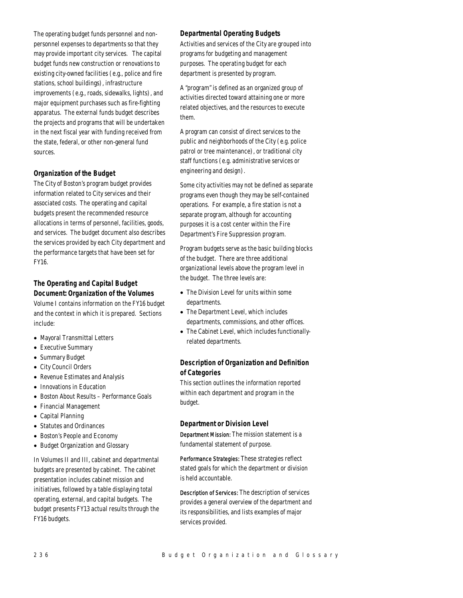The operating budget funds personnel and nonpersonnel expenses to departments so that they may provide important city services. The capital budget funds new construction or renovations to existing city-owned facilities (e.g., police and fire stations, school buildings), infrastructure improvements (e.g., roads, sidewalks, lights), and major equipment purchases such as fire-fighting apparatus. The external funds budget describes the projects and programs that will be undertaken in the next fiscal year with funding received from the state, federal, or other non-general fund sources.

# *Organization of the Budget*

The City of Boston's program budget provides information related to City services and their associated costs. The operating and capital budgets present the recommended resource allocations in terms of personnel, facilities, goods, and services. The budget document also describes the services provided by each City department and the performance targets that have been set for FY16.

# *The Operating and Capital Budget Document: Organization of the Volumes*

Volume I contains information on the FY16 budget and the context in which it is prepared. Sections include:

- Mayoral Transmittal Letters
- Executive Summary
- Summary Budget
- City Council Orders
- Revenue Estimates and Analysis
- Innovations in Education
- Boston About Results Performance Goals
- Financial Management
- Capital Planning
- Statutes and Ordinances
- Boston's People and Economy
- Budget Organization and Glossary

In Volumes II and III, cabinet and departmental budgets are presented by cabinet. The cabinet presentation includes cabinet mission and initiatives, followed by a table displaying total operating, external, and capital budgets. The budget presents FY13 actual results through the FY16 budgets.

# *Departmental Operating Budgets*

Activities and services of the City are grouped into programs for budgeting and management purposes. The operating budget for each department is presented by program.

A "program" is defined as an organized group of activities directed toward attaining one or more related objectives, and the resources to execute them.

A program can consist of direct services to the public and neighborhoods of the City (e.g. police patrol or tree maintenance), or traditional city staff functions (e.g. administrative services or engineering and design).

Some city activities may not be defined as separate programs even though they may be self-contained operations. For example, a fire station is not a separate program, although for accounting purposes it is a cost center within the Fire Department's Fire Suppression program.

Program budgets serve as the basic building blocks of the budget. There are three additional organizational levels above the program level in the budget. The three levels are:

- The Division Level for units within some departments.
- The Department Level, which includes departments, commissions, and other offices.
- The Cabinet Level, which includes functionallyrelated departments.

# *Description of Organization and Definition of Categories*

This section outlines the information reported within each department and program in the budget.

## *Department or Division Level*

Department Mission: The mission statement is a fundamental statement of purpose.

Performance Strategies: These strategies reflect stated goals for which the department or division is held accountable.

Description of Services: The description of services provides a general overview of the department and its responsibilities, and lists examples of major services provided.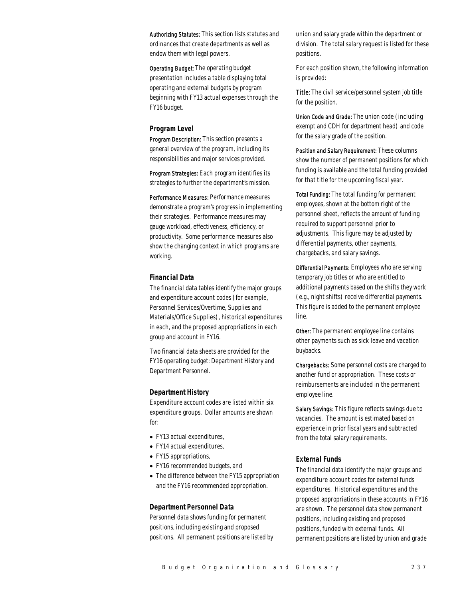Authorizing Statutes: This section lists statutes and ordinances that create departments as well as endow them with legal powers.

Operating Budget: The operating budget presentation includes a table displaying total operating and external budgets by program beginning with FY13 actual expenses through the FY16 budget.

### *Program Level*

Program Description: This section presents a general overview of the program, including its responsibilities and major services provided.

Program Strategies: Each program identifies its strategies to further the department's mission.

Performance Measures: Performance measures demonstrate a program's progress in implementing their strategies. Performance measures may gauge workload, effectiveness, efficiency, or productivity. Some performance measures also show the changing context in which programs are working.

## *Financial Data*

The financial data tables identify the major groups and expenditure account codes (for example, Personnel Services/Overtime, Supplies and Materials/Office Supplies), historical expenditures in each, and the proposed appropriations in each group and account in FY16.

Two financial data sheets are provided for the FY16 operating budget: Department History and Department Personnel.

### *Department History*

Expenditure account codes are listed within six expenditure groups. Dollar amounts are shown for:

- FY13 actual expenditures,
- FY14 actual expenditures,
- FY15 appropriations,
- FY16 recommended budgets, and
- The difference between the FY15 appropriation and the FY16 recommended appropriation.

## *Department Personnel Data*

Personnel data shows funding for permanent positions, including existing and proposed positions. All permanent positions are listed by union and salary grade within the department or division. The total salary request is listed for these positions.

For each position shown, the following information is provided:

Title: The civil service/personnel system job title for the position.

Union Code and Grade: The union code (including exempt and CDH for department head) and code for the salary grade of the position.

Position and Salary Requirement: These columns show the number of permanent positions for which funding is available and the total funding provided for that title for the upcoming fiscal year.

Total Funding: The total funding for permanent employees, shown at the bottom right of the personnel sheet, reflects the amount of funding required to support personnel prior to adjustments. This figure may be adjusted by differential payments, other payments, chargebacks, and salary savings.

Differential Payments: Employees who are serving temporary job titles or who are entitled to additional payments based on the shifts they work (e.g., night shifts) receive differential payments. This figure is added to the permanent employee line.

Other: The permanent employee line contains other payments such as sick leave and vacation buybacks.

Chargebacks: Some personnel costs are charged to another fund or appropriation. These costs or reimbursements are included in the permanent employee line.

Salary Savings: This figure reflects savings due to vacancies. The amount is estimated based on experience in prior fiscal years and subtracted from the total salary requirements.

## *External Funds*

The financial data identify the major groups and expenditure account codes for external funds expenditures. Historical expenditures and the proposed appropriations in these accounts in FY16 are shown. The personnel data show permanent positions, including existing and proposed positions, funded with external funds. All permanent positions are listed by union and grade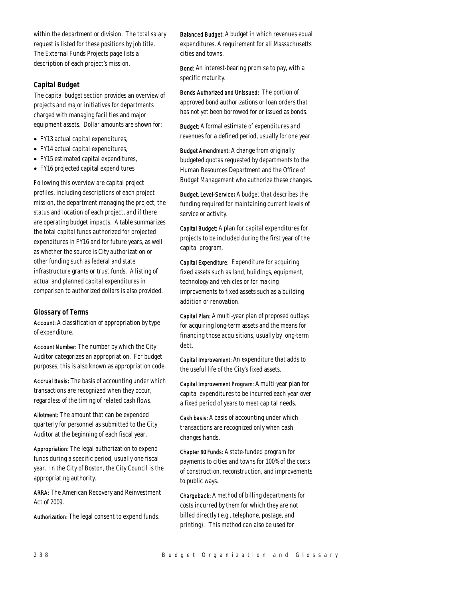within the department or division. The total salary request is listed for these positions by job title. The External Funds Projects page lists a description of each project's mission.

# *Capital Budget*

The capital budget section provides an overview of projects and major initiatives for departments charged with managing facilities and major equipment assets. Dollar amounts are shown for:

- FY13 actual capital expenditures,
- FY14 actual capital expenditures,
- FY15 estimated capital expenditures,
- FY16 projected capital expenditures

Following this overview are capital project profiles, including descriptions of each project mission, the department managing the project, the status and location of each project, and if there are operating budget impacts. A table summarizes the total capital funds authorized for projected expenditures in FY16 and for future years, as well as whether the source is City authorization or other funding such as federal and state infrastructure grants or trust funds. A listing of actual and planned capital expenditures in comparison to authorized dollars is also provided.

# *Glossary of Terms*

Account: A classification of appropriation by type of expenditure.

Account Number: The number by which the City Auditor categorizes an appropriation. For budget purposes, this is also known as appropriation code.

Accrual Basis: The basis of accounting under which transactions are recognized when they occur, regardless of the timing of related cash flows.

Allotment: The amount that can be expended quarterly for personnel as submitted to the City Auditor at the beginning of each fiscal year.

Appropriation: The legal authorization to expend funds during a specific period, usually one fiscal year. In the City of Boston, the City Council is the appropriating authority.

ARRA: The American Recovery and Reinvestment Act of 2009.

Authorization: The legal consent to expend funds.

Balanced Budget: A budget in which revenues equal expenditures. A requirement for all Massachusetts cities and towns.

Bond: An interest-bearing promise to pay, with a specific maturity.

Bonds Authorized and Unissued: The portion of approved bond authorizations or loan orders that has not yet been borrowed for or issued as bonds.

Budget: A formal estimate of expenditures and revenues for a defined period, usually for one year.

Budget Amendment: A change from originally budgeted quotas requested by departments to the Human Resources Department and the Office of Budget Management who authorize these changes.

Budget, Level-Service*:* A budget that describes the funding required for maintaining current levels of service or activity.

Capital Budget: A plan for capital expenditures for projects to be included during the first year of the capital program.

Capital Expenditure: Expenditure for acquiring fixed assets such as land, buildings, equipment, technology and vehicles or for making improvements to fixed assets such as a building addition or renovation.

Capital Plan: A multi-year plan of proposed outlays for acquiring long-term assets and the means for financing those acquisitions, usually by long-term debt.

Capital Improvement: An expenditure that adds to the useful life of the City's fixed assets.

Capital Improvement Program: A multi-year plan for capital expenditures to be incurred each year over a fixed period of years to meet capital needs.

Cash basis: A basis of accounting under which transactions are recognized only when cash changes hands.

Chapter 90 Funds: A state-funded program for payments to cities and towns for 100% of the costs of construction, reconstruction, and improvements to public ways.

Chargeback: A method of billing departments for costs incurred by them for which they are not billed directly (e.g., telephone, postage, and printing). This method can also be used for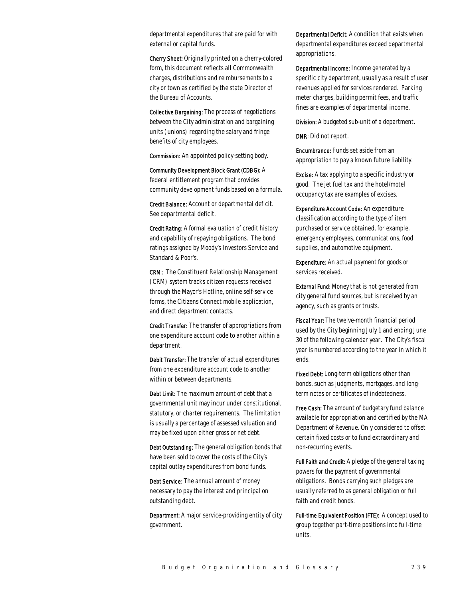departmental expenditures that are paid for with external or capital funds.

Cherry Sheet: Originally printed on a cherry-colored form, this document reflects all Commonwealth charges, distributions and reimbursements to a city or town as certified by the state Director of the Bureau of Accounts.

Collective Bargaining: The process of negotiations between the City administration and bargaining units (unions) regarding the salary and fringe benefits of city employees.

Commission: An appointed policy-setting body.

Community Development Block Grant (CDBG): A federal entitlement program that provides community development funds based on a formula.

Credit Balance: Account or departmental deficit. See departmental deficit.

Credit Rating: A formal evaluation of credit history and capability of repaying obligations. The bond ratings assigned by Moody's Investors Service and Standard & Poor's.

CRM: The Constituent Relationship Management (CRM) system tracks citizen requests received through the Mayor's Hotline, online self-service forms, the Citizens Connect mobile application, and direct department contacts.

Credit Transfer: The transfer of appropriations from one expenditure account code to another within a department.

Debit Transfer: The transfer of actual expenditures from one expenditure account code to another within or between departments.

Debt Limit: The maximum amount of debt that a governmental unit may incur under constitutional, statutory, or charter requirements. The limitation is usually a percentage of assessed valuation and may be fixed upon either gross or net debt.

Debt Outstanding: The general obligation bonds that have been sold to cover the costs of the City's capital outlay expenditures from bond funds.

Debt Service: The annual amount of money necessary to pay the interest and principal on outstanding debt.

Department: A major service-providing entity of city government.

Departmental Deficit: A condition that exists when departmental expenditures exceed departmental appropriations.

Departmental Income: Income generated by a specific city department, usually as a result of user revenues applied for services rendered. Parking meter charges, building permit fees, and traffic fines are examples of departmental income.

Division: A budgeted sub-unit of a department.

DNR: Did not report.

Encumbrance: Funds set aside from an appropriation to pay a known future liability.

Excise: A tax applying to a specific industry or good. The jet fuel tax and the hotel/motel occupancy tax are examples of excises.

Expenditure Account Code: An expenditure classification according to the type of item purchased or service obtained, for example, emergency employees, communications, food supplies, and automotive equipment.

Expenditure: An actual payment for goods or services received.

External Fund: Money that is not generated from city general fund sources, but is received by an agency, such as grants or trusts.

Fiscal Year: The twelve-month financial period used by the City beginning July 1 and ending June 30 of the following calendar year. The City's fiscal year is numbered according to the year in which it ends.

Fixed Debt: Long-term obligations other than bonds, such as judgments, mortgages, and longterm notes or certificates of indebtedness.

Free Cash: The amount of budgetary fund balance available for appropriation and certified by the MA Department of Revenue. Only considered to offset certain fixed costs or to fund extraordinary and non-recurring events.

Full Faith and Credit: A pledge of the general taxing powers for the payment of governmental obligations. Bonds carrying such pledges are usually referred to as general obligation or full faith and credit bonds.

Full-time Equivalent Position (FTE): A concept used to group together part-time positions into full-time units.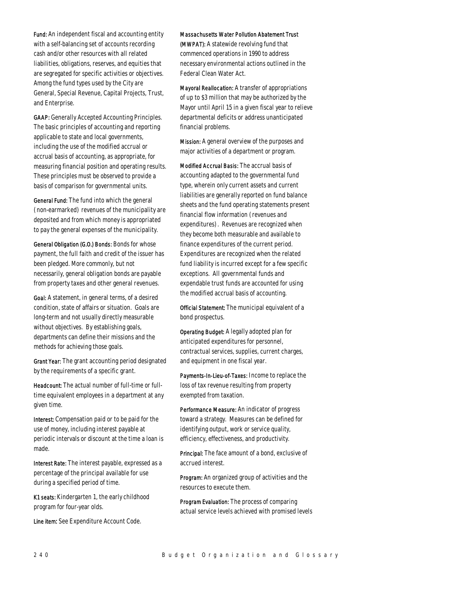Fund: An independent fiscal and accounting entity with a self-balancing set of accounts recording cash and/or other resources with all related liabilities, obligations, reserves, and equities that are segregated for specific activities or objectives. Among the fund types used by the City are General, Special Revenue, Capital Projects, Trust, and Enterprise.

GAAP: Generally Accepted Accounting Principles. The basic principles of accounting and reporting applicable to state and local governments, including the use of the modified accrual or accrual basis of accounting, as appropriate, for measuring financial position and operating results. These principles must be observed to provide a basis of comparison for governmental units.

General Fund: The fund into which the general (non-earmarked) revenues of the municipality are deposited and from which money is appropriated to pay the general expenses of the municipality.

General Obligation (G.O.) Bonds: Bonds for whose payment, the full faith and credit of the issuer has been pledged. More commonly, but not necessarily, general obligation bonds are payable from property taxes and other general revenues.

Goal: A statement, in general terms, of a desired condition, state of affairs or situation. Goals are long-term and not usually directly measurable without objectives. By establishing goals, departments can define their missions and the methods for achieving those goals.

Grant Year: The grant accounting period designated by the requirements of a specific grant.

Headcount: The actual number of full-time or fulltime equivalent employees in a department at any given time.

Interest: Compensation paid or to be paid for the use of money, including interest payable at periodic intervals or discount at the time a loan is made.

Interest Rate: The interest payable, expressed as a percentage of the principal available for use during a specified period of time.

K1 seats: Kindergarten 1, the early childhood program for four-year olds.

Line item: See Expenditure Account Code.

#### Massachusetts Water Pollution Abatement Trust

(MWPAT): A statewide revolving fund that commenced operations in 1990 to address necessary environmental actions outlined in the Federal Clean Water Act.

Mayoral Reallocation: A transfer of appropriations of up to \$3 million that may be authorized by the Mayor until April 15 in a given fiscal year to relieve departmental deficits or address unanticipated financial problems.

Mission: A general overview of the purposes and major activities of a department or program.

Modified Accrual Basis: The accrual basis of accounting adapted to the governmental fund type, wherein only current assets and current liabilities are generally reported on fund balance sheets and the fund operating statements present financial flow information (revenues and expenditures). Revenues are recognized when they become both measurable and available to finance expenditures of the current period. Expenditures are recognized when the related fund liability is incurred except for a few specific exceptions. All governmental funds and expendable trust funds are accounted for using the modified accrual basis of accounting.

Official Statement: The municipal equivalent of a bond prospectus.

Operating Budget: A legally adopted plan for anticipated expenditures for personnel, contractual services, supplies, current charges, and equipment in one fiscal year.

Payments-In-Lieu-of-Taxes: Income to replace the loss of tax revenue resulting from property exempted from taxation.

Performance Measure: An indicator of progress toward a strategy. Measures can be defined for identifying output, work or service quality, efficiency, effectiveness, and productivity.

Principal: The face amount of a bond, exclusive of accrued interest.

Program: An organized group of activities and the resources to execute them.

Program Evaluation: The process of comparing actual service levels achieved with promised levels